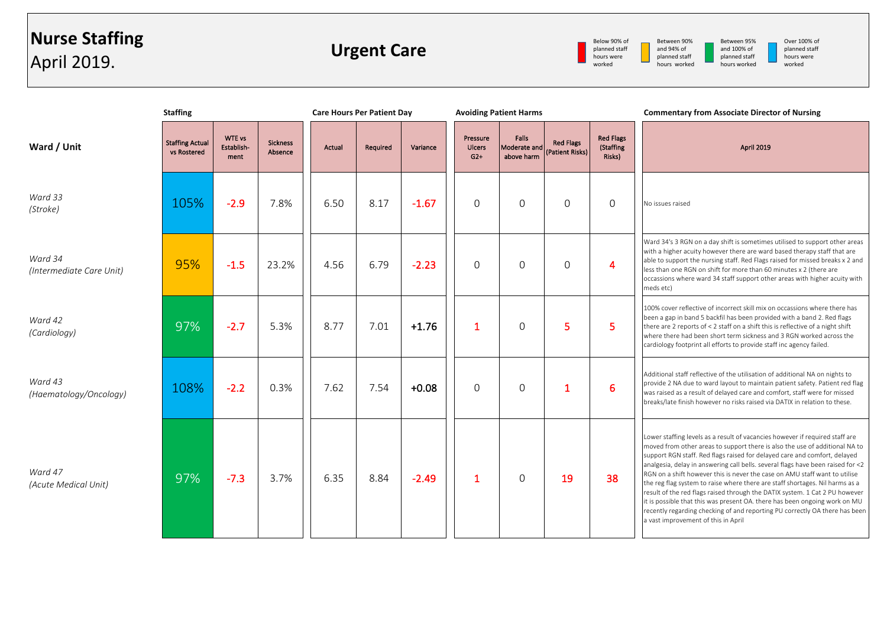## **Nurse Staffing** April 2019.

**Urgent Care**



Between 90% and 94% of planned staff hours worked

Between 95% and 100% of planned staff hours worked

Over 100% of planned staff hours were worked

|                                     | <b>Staffing</b>                       |                                     |                            | <b>Care Hours Per Patient Day</b> |          |          | <b>Avoiding Patient Harms</b>      |                                     |                                     |                                         | <b>Commentary from Associate Director of Nursing</b>                                                                                                                                                                                                                                                                                                                                                                                                                                                                                                                                                                                                                                                                                                                         |
|-------------------------------------|---------------------------------------|-------------------------------------|----------------------------|-----------------------------------|----------|----------|------------------------------------|-------------------------------------|-------------------------------------|-----------------------------------------|------------------------------------------------------------------------------------------------------------------------------------------------------------------------------------------------------------------------------------------------------------------------------------------------------------------------------------------------------------------------------------------------------------------------------------------------------------------------------------------------------------------------------------------------------------------------------------------------------------------------------------------------------------------------------------------------------------------------------------------------------------------------------|
| Ward / Unit                         | <b>Staffing Actual</b><br>vs Rostered | <b>WTE vs</b><br>Establish-<br>ment | <b>Sickness</b><br>Absence | <b>Actual</b>                     | Required | Variance | Pressure<br><b>Ulcers</b><br>$G2+$ | Falls<br>Moderate and<br>above harm | <b>Red Flags</b><br>(Patient Risks) | <b>Red Flags</b><br>(Staffing<br>Risks) | April 2019                                                                                                                                                                                                                                                                                                                                                                                                                                                                                                                                                                                                                                                                                                                                                                   |
| Ward 33<br>(Stroke)                 | 105%                                  | $-2.9$                              | 7.8%                       | 6.50                              | 8.17     | $-1.67$  | $\Omega$                           | $\Omega$                            | $\Omega$                            | $\Omega$                                | No issues raised                                                                                                                                                                                                                                                                                                                                                                                                                                                                                                                                                                                                                                                                                                                                                             |
| Ward 34<br>(Intermediate Care Unit) | 95%                                   | $-1.5$                              | 23.2%                      | 4.56                              | 6.79     | $-2.23$  | $\Omega$                           | $\Omega$                            | $\Omega$                            | $\overline{4}$                          | Ward 34's 3 RGN on a day shift is sometimes utilised to support other areas<br>with a higher acuity however there are ward based therapy staff that are<br>able to support the nursing staff. Red Flags raised for missed breaks x 2 and<br>less than one RGN on shift for more than 60 minutes x 2 (there are<br>occassions where ward 34 staff support other areas with higher acuity with<br>meds etc)                                                                                                                                                                                                                                                                                                                                                                    |
| Ward 42<br>(Cardiology)             | 97%                                   | $-2.7$                              | 5.3%                       | 8.77                              | 7.01     | $+1.76$  | $\mathbf{1}$                       | $\Omega$                            | 5                                   | 5                                       | 100% cover reflective of incorrect skill mix on occassions where there has<br>been a gap in band 5 backfil has been provided with a band 2. Red flags<br>there are 2 reports of < 2 staff on a shift this is reflective of a night shift<br>where there had been short term sickness and 3 RGN worked across the<br>cardiology footprint all efforts to provide staff inc agency failed.                                                                                                                                                                                                                                                                                                                                                                                     |
| Ward 43<br>(Haematology/Oncology)   | 108%                                  | $-2.2$                              | 0.3%                       | 7.62                              | 7.54     | $+0.08$  | $\Omega$                           | $\Omega$                            | 1                                   | 6                                       | Additional staff reflective of the utilisation of additional NA on nights to<br>provide 2 NA due to ward layout to maintain patient safety. Patient red flag<br>was raised as a result of delayed care and comfort, staff were for missed<br>breaks/late finish however no risks raised via DATIX in relation to these.                                                                                                                                                                                                                                                                                                                                                                                                                                                      |
| Ward 47<br>(Acute Medical Unit)     | 97%                                   | $-7.3$                              | 3.7%                       | 6.35                              | 8.84     | $-2.49$  | $\mathbf{1}$                       | $\Omega$                            | 19                                  | 38                                      | Lower staffing levels as a result of vacancies however if required staff are<br>moved from other areas to support there is also the use of additional NA to<br>support RGN staff. Red flags raised for delayed care and comfort, delayed<br>analgesia, delay in answering call bells. several flags have been raised for <2<br>RGN on a shift however this is never the case on AMU staff want to utilise<br>the reg flag system to raise where there are staff shortages. Nil harms as a<br>result of the red flags raised through the DATIX system. 1 Cat 2 PU however<br>it is possible that this was present OA. there has been ongoing work on MU<br>recently regarding checking of and reporting PU correctly OA there has been<br>a vast improvement of this in April |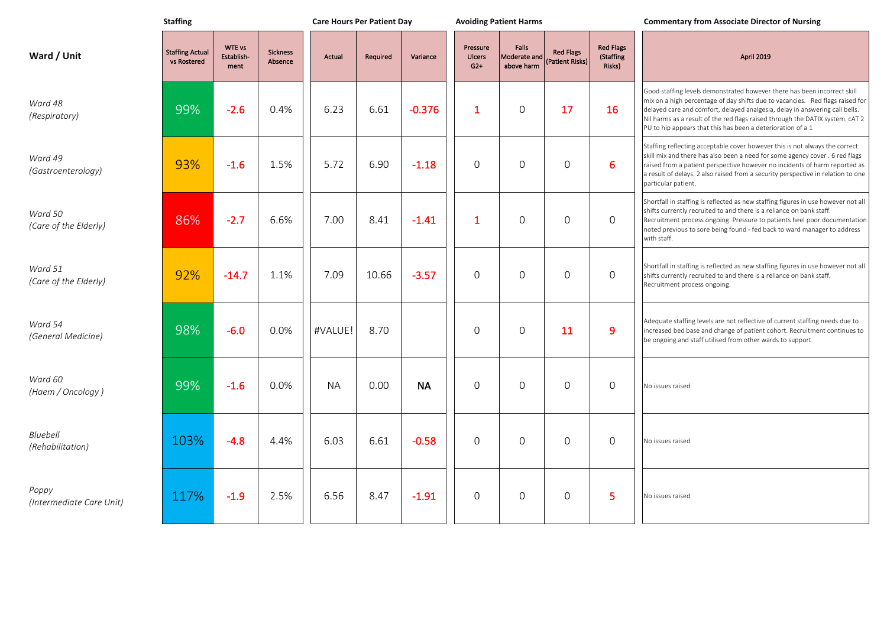|                                   | <b>Staffing</b>                       |                              |                            | <b>Care Hours Per Patient Day</b> |          |           | <b>Avoiding Patient Harms</b>      |                                     |                                     |                                         | <b>Commentary from Associate Director of Nursing</b>                                                                                                                                                                                                                                                                                                                                     |  |
|-----------------------------------|---------------------------------------|------------------------------|----------------------------|-----------------------------------|----------|-----------|------------------------------------|-------------------------------------|-------------------------------------|-----------------------------------------|------------------------------------------------------------------------------------------------------------------------------------------------------------------------------------------------------------------------------------------------------------------------------------------------------------------------------------------------------------------------------------------|--|
| Ward / Unit                       | <b>Staffing Actual</b><br>vs Rostered | WTE vs<br>Establish-<br>ment | <b>Sickness</b><br>Absence | <b>Actual</b>                     | Required | Variance  | Pressure<br><b>Ulcers</b><br>$G2+$ | Falls<br>Moderate and<br>above harm | <b>Red Flags</b><br>(Patient Risks) | <b>Red Flags</b><br>(Staffing<br>Risks) | April 2019                                                                                                                                                                                                                                                                                                                                                                               |  |
| Ward 48<br>(Respiratory)          | 99%                                   | $-2.6$                       | 0.4%                       | 6.23                              | 6.61     | $-0.376$  | 1                                  | $\Omega$                            | 17                                  | <b>16</b>                               | Good staffing levels demonstrated however there has been incorrect skill<br>mix on a high percentage of day shifts due to vacancies. Red flags raised for<br>delayed care and comfort, delayed analgesia, delay in answering call bells.<br>Nil harms as a result of the red flags raised through the DATIX system. cAT 2<br>PU to hip appears that this has been a deterioration of a 1 |  |
| Ward 49<br>(Gastroenterology)     | 93%                                   | $-1.6$                       | 1.5%                       | 5.72                              | 6.90     | $-1.18$   | $\Omega$                           | $\Omega$                            | $\Omega$                            | 6                                       | Staffing reflecting acceptable cover however this is not always the correct<br>skill mix and there has also been a need for some agency cover. 6 red flags<br>raised from a patient perspective however no incidents of harm reported as<br>a result of delays. 2 also raised from a security perspective in relation to one<br>particular patient.                                      |  |
| Ward 50<br>(Care of the Elderly)  | 86%                                   | $-2.7$                       | 6.6%                       | 7.00                              | 8.41     | $-1.41$   | 1                                  | $\Omega$                            | $\Omega$                            | $\Omega$                                | Shortfall in staffing is reflected as new staffing figures in use however not all<br>shifts currently recruited to and there is a reliance on bank staff.<br>Recruitment process ongoing. Pressure to patients heel poor documentation<br>noted previous to sore being found - fed back to ward manager to address<br>with staff.                                                        |  |
| Ward 51<br>(Care of the Elderly)  | 92%                                   | $-14.7$                      | 1.1%                       | 7.09                              | 10.66    | $-3.57$   | $\Omega$                           | $\Omega$                            | $\Omega$                            | $\Omega$                                | Shortfall in staffing is reflected as new staffing figures in use however not all<br>shifts currently recruited to and there is a reliance on bank staff.<br>Recruitment process ongoing.                                                                                                                                                                                                |  |
| Ward 54<br>(General Medicine)     | 98%                                   | $-6.0$                       | 0.0%                       | #VALUE!                           | 8.70     |           | $\Omega$                           | $\Omega$                            | 11                                  | 9                                       | Adequate staffing levels are not reflective of current staffing needs due to<br>increased bed base and change of patient cohort. Recruitment continues to<br>be ongoing and staff utilised from other wards to support.                                                                                                                                                                  |  |
| Ward 60<br>(Haem / Oncology)      | 99%                                   | $-1.6$                       | 0.0%                       | <b>NA</b>                         | 0.00     | <b>NA</b> | $\Omega$                           | $\Omega$                            | $\Omega$                            | $\Omega$                                | No issues raised                                                                                                                                                                                                                                                                                                                                                                         |  |
| Bluebell<br>(Rehabilitation)      | 103%                                  | $-4.8$                       | 4.4%                       | 6.03                              | 6.61     | $-0.58$   | $\Omega$                           | $\Omega$                            | $\Omega$                            | $\Omega$                                | No issues raised                                                                                                                                                                                                                                                                                                                                                                         |  |
| Poppy<br>(Intermediate Care Unit) | 117%                                  | $-1.9$                       | 2.5%                       | 6.56                              | 8.47     | $-1.91$   | $\Omega$                           | $\Omega$                            | $\Omega$                            | 5                                       | No issues raised                                                                                                                                                                                                                                                                                                                                                                         |  |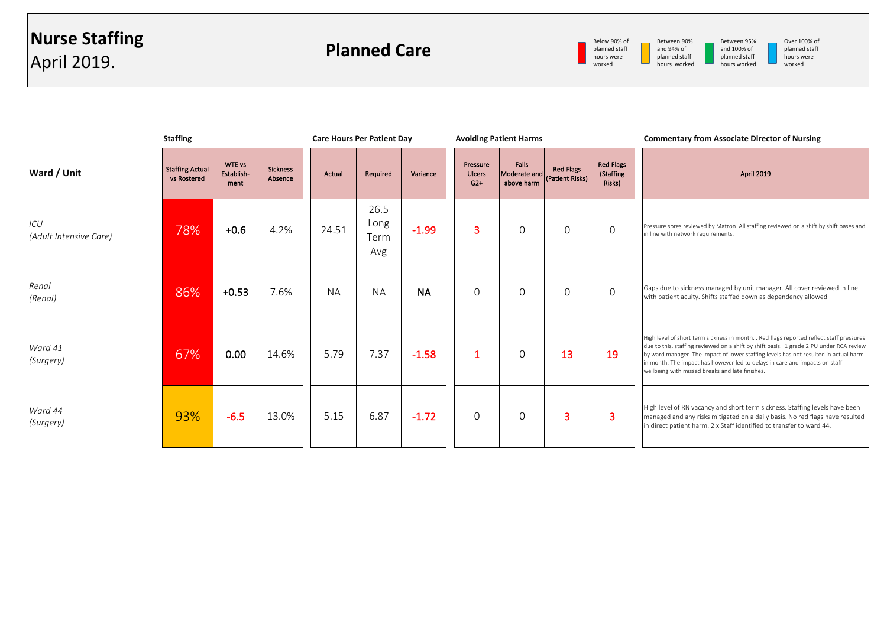

Between 95% and 100% of planned staff hours worked

Over 100% of planned staff hours were worked

|                               | <b>Staffing</b>                       |                                     |                            | <b>Care Hours Per Patient Day</b> |                             |           |                                    | <b>Avoiding Patient Harms</b>       |                                     |                                         | <b>Commentary from Associate Director of Nursing</b>                                                                                                                                                                                                                                                                                                                                                          |
|-------------------------------|---------------------------------------|-------------------------------------|----------------------------|-----------------------------------|-----------------------------|-----------|------------------------------------|-------------------------------------|-------------------------------------|-----------------------------------------|---------------------------------------------------------------------------------------------------------------------------------------------------------------------------------------------------------------------------------------------------------------------------------------------------------------------------------------------------------------------------------------------------------------|
| Ward / Unit                   | <b>Staffing Actual</b><br>vs Rostered | <b>WTE vs</b><br>Establish-<br>ment | <b>Sickness</b><br>Absence | Actual                            | Required                    | Variance  | Pressure<br><b>Ulcers</b><br>$G2+$ | Falls<br>Moderate and<br>above harm | <b>Red Flags</b><br>(Patient Risks) | <b>Red Flags</b><br>(Staffing<br>Risks) | <b>April 2019</b>                                                                                                                                                                                                                                                                                                                                                                                             |
| ICU<br>(Adult Intensive Care) | 78%                                   | $+0.6$                              | 4.2%                       | 24.51                             | 26.5<br>Long<br>Term<br>Avg | $-1.99$   | 3                                  | $\Omega$                            | $\Omega$                            | $\Omega$                                | Pressure sores reviewed by Matron. All staffing reviewed on a shift by shift bases and<br>in line with network requirements.                                                                                                                                                                                                                                                                                  |
| Renal<br>(Renal)              | 86%                                   | $+0.53$                             | 7.6%                       | <b>NA</b>                         | <b>NA</b>                   | <b>NA</b> | $\Omega$                           | $\Omega$                            | $\mathbf 0$                         | $\mathbf 0$                             | Gaps due to sickness managed by unit manager. All cover reviewed in line<br>with patient acuity. Shifts staffed down as dependency allowed.                                                                                                                                                                                                                                                                   |
| Ward 41<br>(Surgery)          | 67%                                   | 0.00                                | 14.6%                      | 5.79                              | 7.37                        | $-1.58$   |                                    | $\Omega$                            | 13                                  | 19                                      | High level of short term sickness in month. . Red flags reported reflect staff pressures<br>due to this. staffing reviewed on a shift by shift basis. 1 grade 2 PU under RCA review<br>by ward manager. The impact of lower staffing levels has not resulted in actual harm<br>in month. The impact has however led to delays in care and impacts on staff<br>wellbeing with missed breaks and late finishes. |
| Ward 44<br>(Surgery)          | 93%                                   | $-6.5$                              | 13.0%                      | 5.15                              | 6.87                        | $-1.72$   | $\Omega$                           | $\Omega$                            | 3                                   | 3                                       | High level of RN vacancy and short term sickness. Staffing levels have been<br>managed and any risks mitigated on a daily basis. No red flags have resulted<br>in direct patient harm. 2 x Staff identified to transfer to ward 44.                                                                                                                                                                           |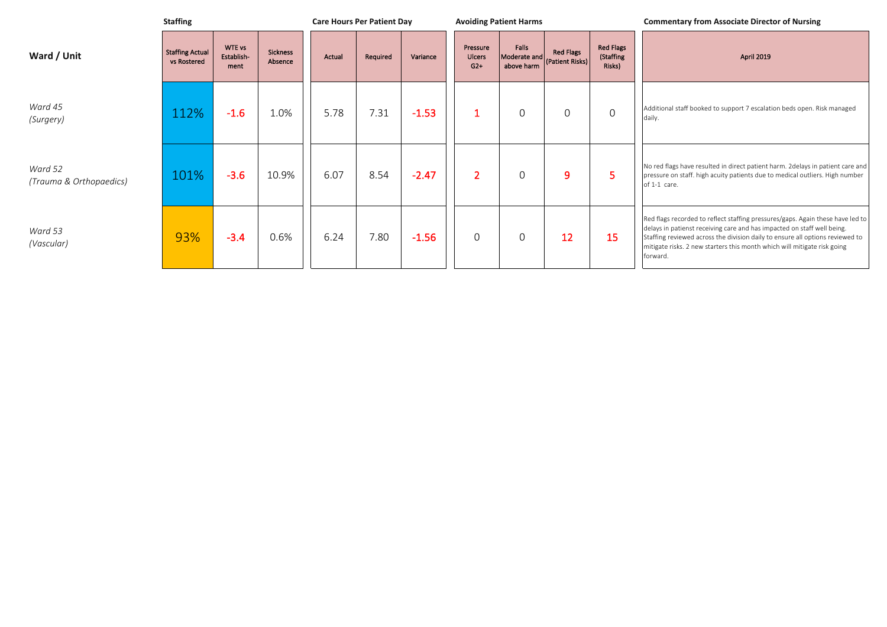|                                    | <b>Staffing</b>                       |                              |                            |        |          | <b>Care Hours Per Patient Day</b> |                             | <b>Avoiding Patient Harms</b>       |                                     |                                         | <b>Commentary from Associate Director of Nursing</b>                                                                                                                                                                                                                                                                               |
|------------------------------------|---------------------------------------|------------------------------|----------------------------|--------|----------|-----------------------------------|-----------------------------|-------------------------------------|-------------------------------------|-----------------------------------------|------------------------------------------------------------------------------------------------------------------------------------------------------------------------------------------------------------------------------------------------------------------------------------------------------------------------------------|
| Ward / Unit                        | <b>Staffing Actual</b><br>vs Rostered | WTE vs<br>Establish-<br>ment | <b>Sickness</b><br>Absence | Actual | Required | Variance                          | Pressure<br>Ulcers<br>$G2+$ | Falls<br>Moderate and<br>above harm | <b>Red Flags</b><br>(Patient Risks) | <b>Red Flags</b><br>(Staffing<br>Risks) | <b>April 2019</b>                                                                                                                                                                                                                                                                                                                  |
| Ward 45<br>(Surgery)               | 112%                                  | $-1.6$                       | 1.0%                       | 5.78   | 7.31     | $-1.53$                           |                             | $\overline{0}$                      | $\mathbf 0$                         | $\Omega$                                | Additional staff booked to support 7 escalation beds open. Risk managed<br>daily.                                                                                                                                                                                                                                                  |
| Ward 52<br>(Trauma & Orthopaedics) | 101%                                  | $-3.6$                       | 10.9%                      | 6.07   | 8.54     | $-2.47$                           | $\overline{2}$              | $\Omega$                            | 9                                   |                                         | No red flags have resulted in direct patient harm. 2delays in patient care and<br>pressure on staff. high acuity patients due to medical outliers. High number<br>of 1-1 care.                                                                                                                                                     |
| Ward 53<br>(Vascular)              | 93%                                   | $-3.4$                       | 0.6%                       | 6.24   | 7.80     | $-1.56$                           | $\overline{0}$              | 0                                   | 12                                  | 15                                      | Red flags recorded to reflect staffing pressures/gaps. Again these have led to<br>delays in patienst receiving care and has impacted on staff well being.<br>Staffing reviewed across the division daily to ensure all options reviewed to<br>mitigate risks. 2 new starters this month which will mitigate risk going<br>forward. |